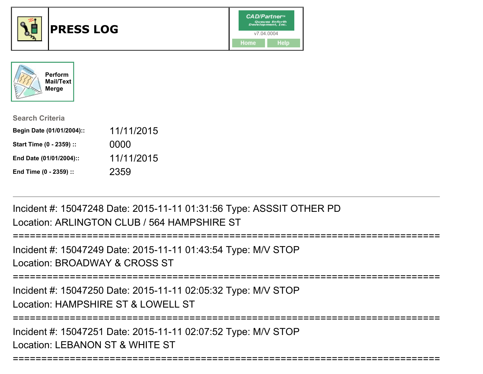



| <b>Search Criteria</b>    |            |
|---------------------------|------------|
| Begin Date (01/01/2004):: | 11/11/2015 |
| Start Time (0 - 2359) ::  | 0000       |
| End Date (01/01/2004)::   | 11/11/2015 |
| End Time (0 - 2359) ::    | 2359       |

Incident #: 15047248 Date: 2015-11-11 01:31:56 Type: ASSSIT OTHER PDLocation: ARLINGTON CLUB / 564 HAMPSHIRE ST

Incident #: 15047249 Date: 2015-11-11 01:43:54 Type: M/V STOPLocation: BROADWAY & CROSS ST

===========================================================================

===========================================================================

Incident #: 15047250 Date: 2015-11-11 02:05:32 Type: M/V STOPLocation: HAMPSHIRE ST & LOWELL ST

===========================================================================

===========================================================================

Incident #: 15047251 Date: 2015-11-11 02:07:52 Type: M/V STOPLocation: LEBANON ST & WHITE ST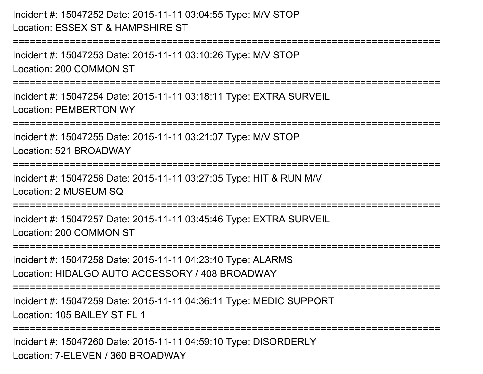Incident #: 15047252 Date: 2015-11-11 03:04:55 Type: M/V STOPLocation: ESSEX ST & HAMPSHIRE ST

==============================

Incident #: 15047253 Date: 2015-11-11 03:10:26 Type: M/V STOPLocation: 200 COMMON ST

===========================================================================

Incident #: 15047254 Date: 2015-11-11 03:18:11 Type: EXTRA SURVEILLocation: PEMBERTON WY

===========================================================================

Incident #: 15047255 Date: 2015-11-11 03:21:07 Type: M/V STOP

Location: 521 BROADWAY

===========================================================================

Incident #: 15047256 Date: 2015-11-11 03:27:05 Type: HIT & RUN M/VLocation: 2 MUSEUM SQ

===========================================================================

Incident #: 15047257 Date: 2015-11-11 03:45:46 Type: EXTRA SURVEILLocation: 200 COMMON ST

===========================================================================

Incident #: 15047258 Date: 2015-11-11 04:23:40 Type: ALARMSLocation: HIDALGO AUTO ACCESSORY / 408 BROADWAY

===========================================================================

Incident #: 15047259 Date: 2015-11-11 04:36:11 Type: MEDIC SUPPORTLocation: 105 BAILEY ST FL 1

===========================================================================

Incident #: 15047260 Date: 2015-11-11 04:59:10 Type: DISORDERLYLocation: 7-ELEVEN / 360 BROADWAY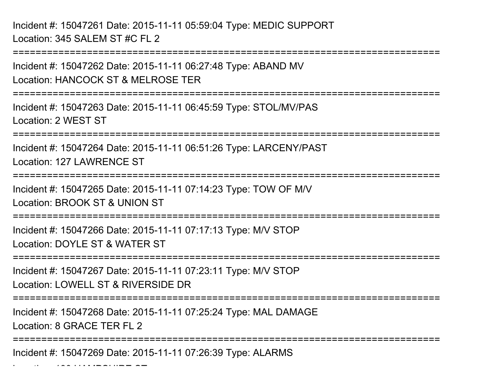Incident #: 15047261 Date: 2015-11-11 05:59:04 Type: MEDIC SUPPORTLocation: 345 SALEM ST #C FL 2

Location: 190 HAMPSHIRE ST

===========================================================================Incident #: 15047262 Date: 2015-11-11 06:27:48 Type: ABAND MVLocation: HANCOCK ST & MELROSE TER===========================================================================Incident #: 15047263 Date: 2015-11-11 06:45:59 Type: STOL/MV/PASLocation: 2 WEST ST===========================================================================Incident #: 15047264 Date: 2015-11-11 06:51:26 Type: LARCENY/PASTLocation: 127 LAWRENCE ST===========================================================================Incident #: 15047265 Date: 2015-11-11 07:14:23 Type: TOW OF M/VLocation: BROOK ST & UNION ST===========================================================================Incident #: 15047266 Date: 2015-11-11 07:17:13 Type: M/V STOPLocation: DOYLE ST & WATER ST===========================================================================Incident #: 15047267 Date: 2015-11-11 07:23:11 Type: M/V STOPLocation: LOWELL ST & RIVERSIDE DR ===========================================================================Incident #: 15047268 Date: 2015-11-11 07:25:24 Type: MAL DAMAGELocation: 8 GRACE TER FL 2===========================================================================Incident #: 15047269 Date: 2015-11-11 07:26:39 Type: ALARMS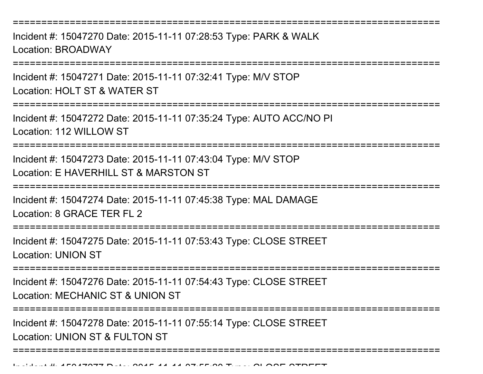===========================================================================

Incident #: 15047270 Date: 2015-11-11 07:28:53 Type: PARK & WALKLocation: BROADWAY

===============

Incident #: 15047271 Date: 2015-11-11 07:32:41 Type: M/V STOPLocation: HOLT ST & WATER ST

===========================================================================

Incident #: 15047272 Date: 2015-11-11 07:35:24 Type: AUTO ACC/NO PILocation: 112 WILLOW ST

===========================================================================

Incident #: 15047273 Date: 2015-11-11 07:43:04 Type: M/V STOPLocation: E HAVERHILL ST & MARSTON ST

===========================================================================

Incident #: 15047274 Date: 2015-11-11 07:45:38 Type: MAL DAMAGELocation: 8 GRACE TER FL 2

===========================================================================

Incident #: 15047275 Date: 2015-11-11 07:53:43 Type: CLOSE STREETLocation: UNION ST

===========================================================================

Incident #: 15047276 Date: 2015-11-11 07:54:43 Type: CLOSE STREETLocation: MECHANIC ST & UNION ST

==============

===========================================================================

Incident #: 15047278 Date: 2015-11-11 07:55:14 Type: CLOSE STREETLocation: UNION ST & FULTON ST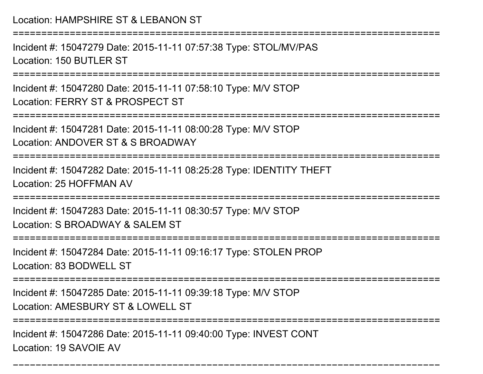#### Location: HAMPSHIRE ST & LEBANON ST

===========================================================================

Incident #: 15047279 Date: 2015-11-11 07:57:38 Type: STOL/MV/PASLocation: 150 BUTLER ST

===========================================================================

Incident #: 15047280 Date: 2015-11-11 07:58:10 Type: M/V STOPLocation: FERRY ST & PROSPECT ST

===========================================================================

Incident #: 15047281 Date: 2015-11-11 08:00:28 Type: M/V STOPLocation: ANDOVER ST & S BROADWAY

===========================================================================

Incident #: 15047282 Date: 2015-11-11 08:25:28 Type: IDENTITY THEFTLocation: 25 HOFFMAN AV

===========================================================================

Incident #: 15047283 Date: 2015-11-11 08:30:57 Type: M/V STOP

Location: S BROADWAY & SALEM ST

=================

Incident #: 15047284 Date: 2015-11-11 09:16:17 Type: STOLEN PROPLocation: 83 BODWELL ST

===========================================================================

Incident #: 15047285 Date: 2015-11-11 09:39:18 Type: M/V STOP

Location: AMESBURY ST & LOWELL ST

===========================================================================

===========================================================================

Incident #: 15047286 Date: 2015-11-11 09:40:00 Type: INVEST CONTLocation: 19 SAVOIE AV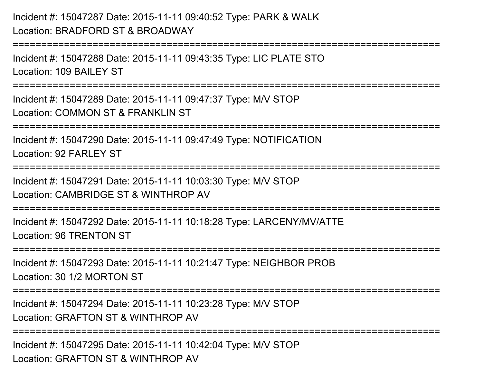# Incident #: 15047287 Date: 2015-11-11 09:40:52 Type: PARK & WALKLocation: BRADFORD ST & BROADWAY

===========================================================================Incident #: 15047288 Date: 2015-11-11 09:43:35 Type: LIC PLATE STOLocation: 109 BAILEY ST===========================================================================Incident #: 15047289 Date: 2015-11-11 09:47:37 Type: M/V STOPLocation: COMMON ST & FRANKLIN ST

===========================================================================

Incident #: 15047290 Date: 2015-11-11 09:47:49 Type: NOTIFICATIONLocation: 92 FARL FY ST

===========================================================================

Incident #: 15047291 Date: 2015-11-11 10:03:30 Type: M/V STOPLocation: CAMBRIDGE ST & WINTHROP AV

===========================================================================

Incident #: 15047292 Date: 2015-11-11 10:18:28 Type: LARCENY/MV/ATTELocation: 96 TRENTON ST

===========================================================================

Incident #: 15047293 Date: 2015-11-11 10:21:47 Type: NEIGHBOR PROBLocation: 30 1/2 MORTON ST

===========================================================================

Incident #: 15047294 Date: 2015-11-11 10:23:28 Type: M/V STOP

Location: GRAFTON ST & WINTHROP AV

===========================================================================

Incident #: 15047295 Date: 2015-11-11 10:42:04 Type: M/V STOPLocation: GRAFTON ST & WINTHROP AV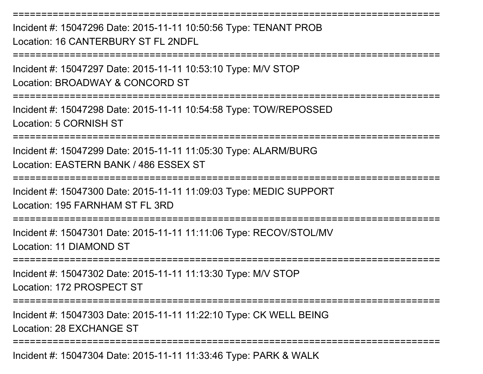Incident #: 15047296 Date: 2015-11-11 10:50:56 Type: TENANT PROBLocation: 16 CANTERBURY ST FL 2NDFL

===========================================================================

===========================================================================

Incident #: 15047297 Date: 2015-11-11 10:53:10 Type: M/V STOPLocation: BROADWAY & CONCORD ST

===========================================================================

Incident #: 15047298 Date: 2015-11-11 10:54:58 Type: TOW/REPOSSEDLocation: 5 CORNISH ST

===========================================================================

Incident #: 15047299 Date: 2015-11-11 11:05:30 Type: ALARM/BURGLocation: EASTERN BANK / 486 ESSEX ST

===========================================================================

Incident #: 15047300 Date: 2015-11-11 11:09:03 Type: MEDIC SUPPORTLocation: 195 FARNHAM ST FL 3RD

===========================================================================

Incident #: 15047301 Date: 2015-11-11 11:11:06 Type: RECOV/STOL/MVLocation: 11 DIAMOND ST

===========================================================================

Incident #: 15047302 Date: 2015-11-11 11:13:30 Type: M/V STOPLocation: 172 PROSPECT ST

===========================================================================

Incident #: 15047303 Date: 2015-11-11 11:22:10 Type: CK WELL BEINGLocation: 28 EXCHANGE ST

===========================================================================

Incident #: 15047304 Date: 2015-11-11 11:33:46 Type: PARK & WALK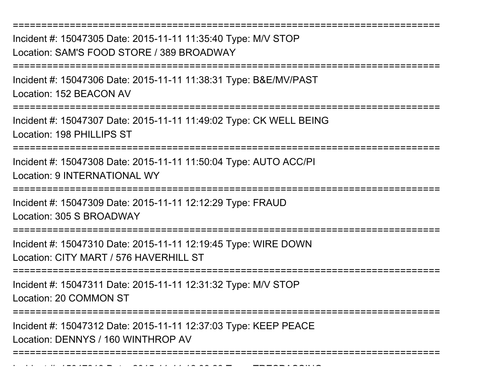Incident #: 15047305 Date: 2015-11-11 11:35:40 Type: M/V STOPLocation: SAM'S FOOD STORE / 389 BROADWAY

===========================================================================

===========================================================================

Incident #: 15047306 Date: 2015-11-11 11:38:31 Type: B&E/MV/PASTLocation: 152 BEACON AV

===========================================================================

Incident #: 15047307 Date: 2015-11-11 11:49:02 Type: CK WELL BEINGLocation: 198 PHILLIPS ST

===========================================================================

Incident #: 15047308 Date: 2015-11-11 11:50:04 Type: AUTO ACC/PILocation: 9 INTERNATIONAL WY

===========================================================================

Incident #: 15047309 Date: 2015-11-11 12:12:29 Type: FRAUD

Location: 305 S BROADWAY

===========================================================================

Incident #: 15047310 Date: 2015-11-11 12:19:45 Type: WIRE DOWNLocation: CITY MART / 576 HAVERHILL ST

===========================================================================

Incident #: 15047311 Date: 2015-11-11 12:31:32 Type: M/V STOP

Location: 20 COMMON ST

Incident #: 15047313 Date: 2015

=======================

Incident #: 15047312 Date: 2015-11-11 12:37:03 Type: KEEP PEACELocation: DENNYS / 160 WINTHROP AV

===========================================================================

<sup>11</sup> 11 12:38:28 Type: TRESPASSING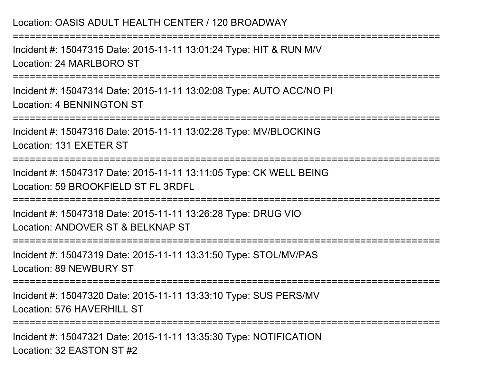### Location: OASIS ADULT HEALTH CENTER / 120 BROADWAY

===========================================================================

Incident #: 15047315 Date: 2015-11-11 13:01:24 Type: HIT & RUN M/VLocation: 24 MARI BORO ST

===========================================================================

Incident #: 15047314 Date: 2015-11-11 13:02:08 Type: AUTO ACC/NO PILocation: 4 BENNINGTON ST

===========================================================================

Incident #: 15047316 Date: 2015-11-11 13:02:28 Type: MV/BLOCKINGLocation: 131 EXETER ST

===========================================================================

Incident #: 15047317 Date: 2015-11-11 13:11:05 Type: CK WELL BEINGLocation: 59 BROOKFIELD ST FL 3RDFL

===========================================================================

Incident #: 15047318 Date: 2015-11-11 13:26:28 Type: DRUG VIOLocation: ANDOVER ST & BELKNAP ST

===========================================================================

Incident #: 15047319 Date: 2015-11-11 13:31:50 Type: STOL/MV/PASLocation: 89 NEWBURY ST

===========================================================================

Incident #: 15047320 Date: 2015-11-11 13:33:10 Type: SUS PERS/MVLocation: 576 HAVERHILL ST

===========================================================================

Incident #: 15047321 Date: 2015-11-11 13:35:30 Type: NOTIFICATIONLocation: 32 EASTON ST #2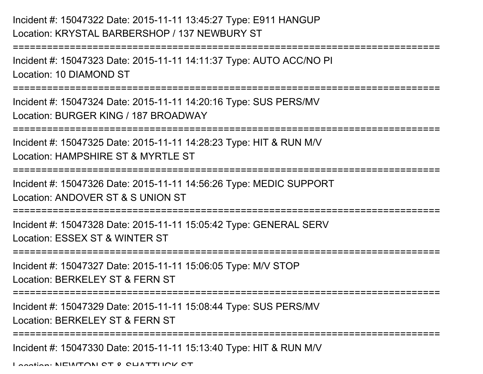## Incident #: 15047322 Date: 2015-11-11 13:45:27 Type: E911 HANGUPLocation: KRYSTAL BARBERSHOP / 137 NEWBURY ST

===========================================================================

Incident #: 15047323 Date: 2015-11-11 14:11:37 Type: AUTO ACC/NO PILocation: 10 DIAMOND ST

===========================================================================

Incident #: 15047324 Date: 2015-11-11 14:20:16 Type: SUS PERS/MVLocation: BURGER KING / 187 BROADWAY

===========================================================================

Incident #: 15047325 Date: 2015-11-11 14:28:23 Type: HIT & RUN M/V

Location: HAMPSHIRE ST & MYRTLE ST

===========================================================================

Incident #: 15047326 Date: 2015-11-11 14:56:26 Type: MEDIC SUPPORT

Location: ANDOVER ST & S UNION ST

=================

Incident #: 15047328 Date: 2015-11-11 15:05:42 Type: GENERAL SERVLocation: ESSEX ST & WINTER ST

===========================================================================

Incident #: 15047327 Date: 2015-11-11 15:06:05 Type: M/V STOP

Location: BERKELEY ST & FERN ST

===========================================================================

Incident #: 15047329 Date: 2015-11-11 15:08:44 Type: SUS PERS/MV

Location: BERKELEY ST & FERN ST

===========================================================================

Incident #: 15047330 Date: 2015-11-11 15:13:40 Type: HIT & RUN M/V

Location: NEWTON CT & CUATTUCK CT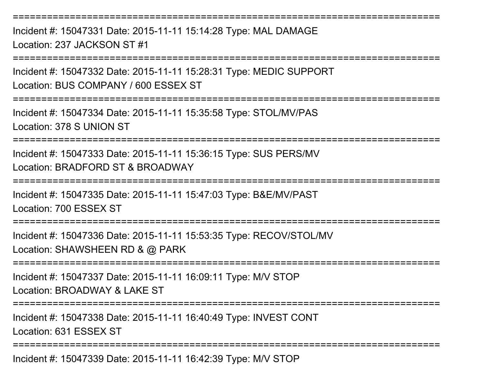===========================================================================

Incident #: 15047331 Date: 2015-11-11 15:14:28 Type: MAL DAMAGELocation: 237 JACKSON ST #1

===========================================================================

Incident #: 15047332 Date: 2015-11-11 15:28:31 Type: MEDIC SUPPORTLocation: BUS COMPANY / 600 ESSEX ST

===========================================================================

Incident #: 15047334 Date: 2015-11-11 15:35:58 Type: STOL/MV/PASLocation: 378 S UNION ST

===========================================================================

Incident #: 15047333 Date: 2015-11-11 15:36:15 Type: SUS PERS/MVLocation: BRADFORD ST & BROADWAY

===========================================================================

Incident #: 15047335 Date: 2015-11-11 15:47:03 Type: B&E/MV/PASTLocation: 700 ESSEX ST

===========================================================================

Incident #: 15047336 Date: 2015-11-11 15:53:35 Type: RECOV/STOL/MVLocation: SHAWSHEEN RD & @ PARK

===========================================================================

Incident #: 15047337 Date: 2015-11-11 16:09:11 Type: M/V STOP

Location: BROADWAY & LAKE ST

===========================================================================

Incident #: 15047338 Date: 2015-11-11 16:40:49 Type: INVEST CONTLocation: 631 ESSEX ST

===========================================================================

Incident #: 15047339 Date: 2015-11-11 16:42:39 Type: M/V STOP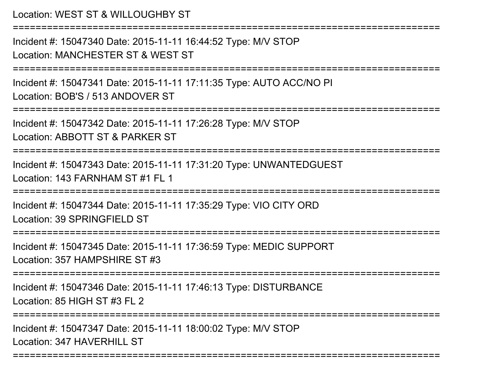```
Location: WEST ST & WILLOUGHBY ST===========================================================================Incident #: 15047340 Date: 2015-11-11 16:44:52 Type: M/V STOPLocation: MANCHESTER ST & WEST ST===========================================================================Incident #: 15047341 Date: 2015-11-11 17:11:35 Type: AUTO ACC/NO PILocation: BOB'S / 513 ANDOVER ST
===========================================================================Incident #: 15047342 Date: 2015-11-11 17:26:28 Type: M/V STOPLocation: ABBOTT ST & PARKER ST===========================================================================Incident #: 15047343 Date: 2015-11-11 17:31:20 Type: UNWANTEDGUESTLocation: 143 FARNHAM ST #1 FL 1=======================
Incident #: 15047344 Date: 2015-11-11 17:35:29 Type: VIO CITY ORDLocation: 39 SPRINGFIFLD ST
===========================================================================Incident #: 15047345 Date: 2015-11-11 17:36:59 Type: MEDIC SUPPORTLocation: 357 HAMPSHIRE ST #3===========================================================================Incident #: 15047346 Date: 2015-11-11 17:46:13 Type: DISTURBANCELocation: 85 HIGH ST #3 FL 2===========================================================================Incident #: 15047347 Date: 2015-11-11 18:00:02 Type: M/V STOPLocation: 347 HAVERHILL ST
```
===========================================================================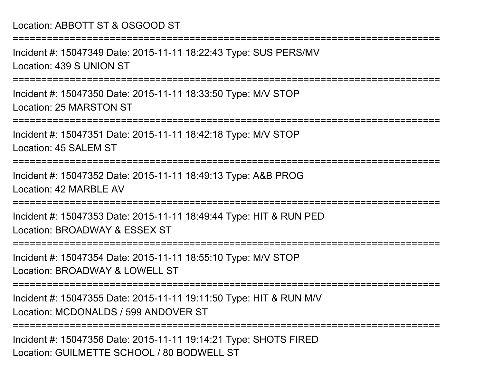## Location: ABBOTT ST & OSGOOD ST===========================================================================Incident #: 15047349 Date: 2015-11-11 18:22:43 Type: SUS PERS/MVLocation: 439 S UNION ST===========================================================================Incident #: 15047350 Date: 2015-11-11 18:33:50 Type: M/V STOPLocation: 25 MARSTON ST===========================================================================Incident #: 15047351 Date: 2015-11-11 18:42:18 Type: M/V STOPLocation: 45 SALEM ST===========================================================================Incident #: 15047352 Date: 2015-11-11 18:49:13 Type: A&B PROGLocation: 42 MARBLE AV================= Incident #: 15047353 Date: 2015-11-11 18:49:44 Type: HIT & RUN PEDLocation: BROADWAY & ESSEX ST**===============** Incident #: 15047354 Date: 2015-11-11 18:55:10 Type: M/V STOPLocation: BROADWAY & LOWELL ST ===========================================================================Incident #: 15047355 Date: 2015-11-11 19:11:50 Type: HIT & RUN M/VLocation: MCDONALDS / 599 ANDOVER ST===========================================================================Incident #: 15047356 Date: 2015-11-11 19:14:21 Type: SHOTS FIREDLocation: GUILMETTE SCHOOL / 80 BODWELL ST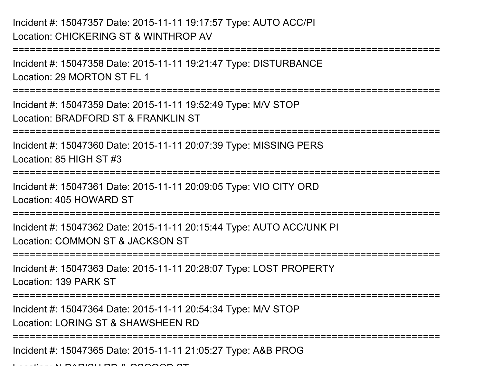### Incident #: 15047357 Date: 2015-11-11 19:17:57 Type: AUTO ACC/PILocation: CHICKERING ST & WINTHROP AV

```

===========================================================================Incident #: 15047358 Date: 2015-11-11 19:21:47 Type: DISTURBANCELocation: 29 MORTON ST FL 1===========================================================================Incident #: 15047359 Date: 2015-11-11 19:52:49 Type: M/V STOPLocation: BRADFORD ST & FRANKLIN ST===========================================================================Incident #: 15047360 Date: 2015-11-11 20:07:39 Type: MISSING PERSLocation: 85 HIGH ST #3===========================================================================Incident #: 15047361 Date: 2015-11-11 20:09:05 Type: VIO CITY ORDLocation: 405 HOWARD ST=============================
Incident #: 15047362 Date: 2015-11-11 20:15:44 Type: AUTO ACC/UNK PILocation: COMMON ST & JACKSON ST===========================================================================Incident #: 15047363 Date: 2015-11-11 20:28:07 Type: LOST PROPERTYLocation: 139 PARK ST===========================================================================Incident #: 15047364 Date: 2015-11-11 20:54:34 Type: M/V STOPLocation: LORING ST & SHAWSHEEN RD===========================================================================
```
Incident #: 15047365 Date: 2015-11-11 21:05:27 Type: A&B PROG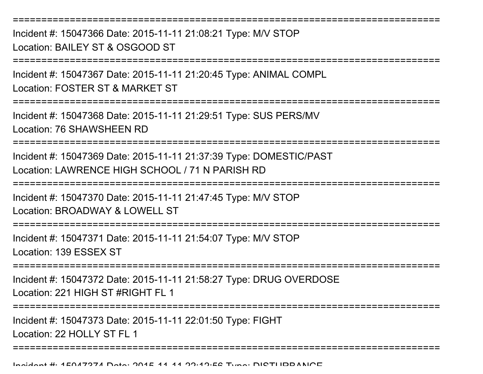===========================================================================Incident #: 15047366 Date: 2015-11-11 21:08:21 Type: M/V STOPLocation: BAILEY ST & OSGOOD ST

===========================================================================

Incident #: 15047367 Date: 2015-11-11 21:20:45 Type: ANIMAL COMPL

Location: FOSTER ST & MARKET ST

===========================================================================

Incident #: 15047368 Date: 2015-11-11 21:29:51 Type: SUS PERS/MVLocation: 76 SHAWSHEEN RD

===========================================================================

Incident #: 15047369 Date: 2015-11-11 21:37:39 Type: DOMESTIC/PASTLocation: LAWRENCE HIGH SCHOOL / 71 N PARISH RD

===========================================================================

Incident #: 15047370 Date: 2015-11-11 21:47:45 Type: M/V STOP

Location: BROADWAY & LOWELL ST

===========================================================================

Incident #: 15047371 Date: 2015-11-11 21:54:07 Type: M/V STOPLocation: 139 ESSEX ST

===========================================================================

Incident #: 15047372 Date: 2015-11-11 21:58:27 Type: DRUG OVERDOSELocation: 221 HIGH ST #RIGHT FL 1

===========================================================================

Incident #: 15047373 Date: 2015-11-11 22:01:50 Type: FIGHT

Location: 22 HOLLY ST FL 1

===========================================================================

Incident #: 15047374 Date: 2015 <sup>11</sup> 11 22:12:56 Type: DISTURBANCE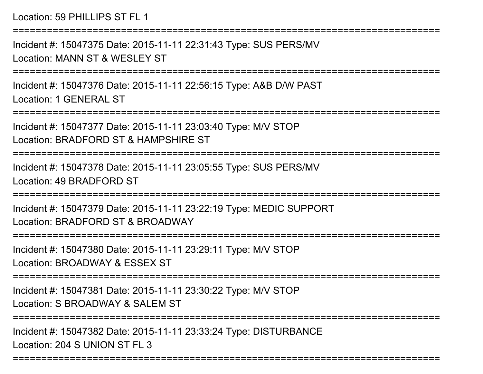===========================================================================Incident #: 15047375 Date: 2015-11-11 22:31:43 Type: SUS PERS/MVLocation: MANN ST & WESLEY ST===========================================================================Incident #: 15047376 Date: 2015-11-11 22:56:15 Type: A&B D/W PASTLocation: 1 GENERAL ST===========================================================================Incident #: 15047377 Date: 2015-11-11 23:03:40 Type: M/V STOPLocation: BRADFORD ST & HAMPSHIRE ST===========================================================================Incident #: 15047378 Date: 2015-11-11 23:05:55 Type: SUS PERS/MVLocation: 49 BRADFORD ST===========================================================================Incident #: 15047379 Date: 2015-11-11 23:22:19 Type: MEDIC SUPPORTLocation: BRADFORD ST & BROADWAY===========================================================================Incident #: 15047380 Date: 2015-11-11 23:29:11 Type: M/V STOPLocation: BROADWAY & ESSEX ST===========================================================================Incident #: 15047381 Date: 2015-11-11 23:30:22 Type: M/V STOPLocation: S BROADWAY & SALEM ST ===========================================================================Incident #: 15047382 Date: 2015-11-11 23:33:24 Type: DISTURBANCELocation: 204 S UNION ST FL 3

===========================================================================